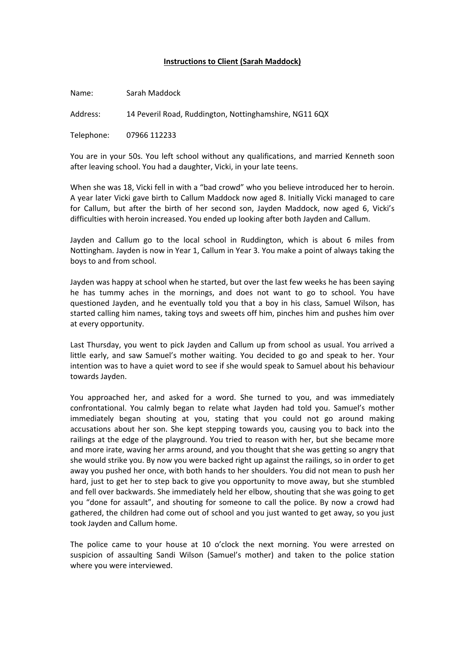## **Instructions to Client (Sarah Maddock)**

Name: Sarah Maddock Address: 14 Peveril Road, Ruddington, Nottinghamshire, NG11 6QX Telephone: 07966 112233

You are in your 50s. You left school without any qualifications, and married Kenneth soon after leaving school. You had a daughter, Vicki, in your late teens.

When she was 18, Vicki fell in with a "bad crowd" who you believe introduced her to heroin. A year later Vicki gave birth to Callum Maddock now aged 8. Initially Vicki managed to care for Callum, but after the birth of her second son, Jayden Maddock, now aged 6, Vicki's difficulties with heroin increased. You ended up looking after both Jayden and Callum.

Jayden and Callum go to the local school in Ruddington, which is about 6 miles from Nottingham. Jayden is now in Year 1, Callum in Year 3. You make a point of always taking the boys to and from school.

Jayden was happy at school when he started, but over the last few weeks he has been saying he has tummy aches in the mornings, and does not want to go to school. You have questioned Jayden, and he eventually told you that a boy in his class, Samuel Wilson, has started calling him names, taking toys and sweets off him, pinches him and pushes him over at every opportunity.

Last Thursday, you went to pick Jayden and Callum up from school as usual. You arrived a little early, and saw Samuel's mother waiting. You decided to go and speak to her. Your intention was to have a quiet word to see if she would speak to Samuel about his behaviour towards Jayden.

You approached her, and asked for a word. She turned to you, and was immediately confrontational. You calmly began to relate what Jayden had told you. Samuel's mother immediately began shouting at you, stating that you could not go around making accusations about her son. She kept stepping towards you, causing you to back into the railings at the edge of the playground. You tried to reason with her, but she became more and more irate, waving her arms around, and you thought that she was getting so angry that she would strike you. By now you were backed right up against the railings, so in order to get away you pushed her once, with both hands to her shoulders. You did not mean to push her hard, just to get her to step back to give you opportunity to move away, but she stumbled and fell over backwards. She immediately held her elbow, shouting that she was going to get you "done for assault", and shouting for someone to call the police. By now a crowd had gathered, the children had come out of school and you just wanted to get away, so you just took Jayden and Callum home.

The police came to your house at 10 o'clock the next morning. You were arrested on suspicion of assaulting Sandi Wilson (Samuel's mother) and taken to the police station where you were interviewed.